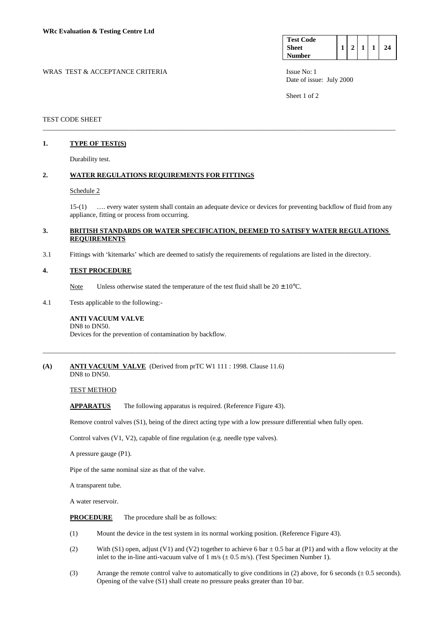| <b>Test Code</b> |  |  |    |
|------------------|--|--|----|
| <b>Sheet</b>     |  |  | 24 |
| <b>Number</b>    |  |  |    |

WRAS TEST & ACCEPTANCE CRITERIA **ISSUE NO:** 1 Date of issue: July 2000

Sheet 1 of 2

### TEST CODE SHEET

## **1. TYPE OF TEST(S)**

Durability test.

## **2. WATER REGULATIONS REQUIREMENTS FOR FITTINGS**

#### Schedule 2

 15-(1) …. every water system shall contain an adequate device or devices for preventing backflow of fluid from any appliance, fitting or process from occurring.

#### **3. BRITISH STANDARDS OR WATER SPECIFICATION, DEEMED TO SATISFY WATER REGULATIONS REQUIREMENTS**

\_\_\_\_\_\_\_\_\_\_\_\_\_\_\_\_\_\_\_\_\_\_\_\_\_\_\_\_\_\_\_\_\_\_\_\_\_\_\_\_\_\_\_\_\_\_\_\_\_\_\_\_\_\_\_\_\_\_\_\_\_\_\_\_\_\_\_\_\_\_\_\_\_\_\_\_\_\_\_\_\_\_\_\_\_\_\_\_\_\_\_\_\_\_\_\_\_\_\_\_\_\_\_

3.1 Fittings with 'kitemarks' which are deemed to satisfy the requirements of regulations are listed in the directory.

#### **4. TEST PROCEDURE**

Note Unless otherwise stated the temperature of the test fluid shall be  $20 \pm 10^{\circ}$ C.

4.1 Tests applicable to the following:-

#### **ANTI VACUUM VALVE**  DN8 to DN50.

Devices for the prevention of contamination by backflow.

## **(A) ANTI VACUUM VALVE** (Derived from prTC W1 111 : 1998. Clause 11.6)

DN8 to DN50.

TEST METHOD

APPARATUS The following apparatus is required. (Reference Figure 43).

Remove control valves (S1), being of the direct acting type with a low pressure differential when fully open.

\_\_\_\_\_\_\_\_\_\_\_\_\_\_\_\_\_\_\_\_\_\_\_\_\_\_\_\_\_\_\_\_\_\_\_\_\_\_\_\_\_\_\_\_\_\_\_\_\_\_\_\_\_\_\_\_\_\_\_\_\_\_\_\_\_\_\_\_\_\_\_\_\_\_\_\_\_\_\_\_\_\_\_\_\_\_\_\_\_\_\_\_\_\_\_\_\_\_\_\_\_\_\_

Control valves (V1, V2), capable of fine regulation (e.g. needle type valves).

A pressure gauge (P1).

Pipe of the same nominal size as that of the valve.

A transparent tube.

A water reservoir.

**PROCEDURE** The procedure shall be as follows:

- (1) Mount the device in the test system in its normal working position. (Reference Figure 43).
- (2) With (S1) open, adjust (V1) and (V2) together to achieve 6 bar  $\pm$  0.5 bar at (P1) and with a flow velocity at the inlet to the in-line anti-vacuum valve of  $1 \text{ m/s } (\pm 0.5 \text{ m/s})$ . (Test Specimen Number 1).
- (3) Arrange the remote control valve to automatically to give conditions in (2) above, for 6 seconds  $(\pm 0.5$  seconds). Opening of the valve (S1) shall create no pressure peaks greater than 10 bar.